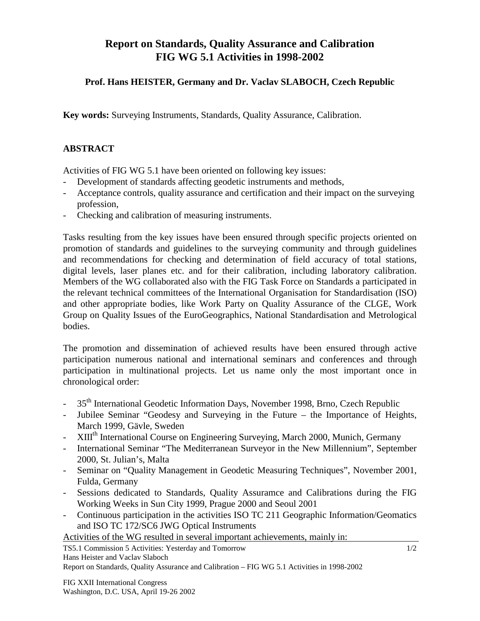## **Report on Standards, Quality Assurance and Calibration FIG WG 5.1 Activities in 1998-2002**

## **Prof. Hans HEISTER, Germany and Dr. Vaclav SLABOCH, Czech Republic**

**Key words:** Surveying Instruments, Standards, Quality Assurance, Calibration.

## **ABSTRACT**

Activities of FIG WG 5.1 have been oriented on following key issues:

- Development of standards affecting geodetic instruments and methods,
- Acceptance controls, quality assurance and certification and their impact on the surveying profession,
- Checking and calibration of measuring instruments.

Tasks resulting from the key issues have been ensured through specific projects oriented on promotion of standards and guidelines to the surveying community and through guidelines and recommendations for checking and determination of field accuracy of total stations, digital levels, laser planes etc. and for their calibration, including laboratory calibration. Members of the WG collaborated also with the FIG Task Force on Standards a participated in the relevant technical committees of the International Organisation for Standardisation (ISO) and other appropriate bodies, like Work Party on Quality Assurance of the CLGE, Work Group on Quality Issues of the EuroGeographics, National Standardisation and Metrological bodies.

The promotion and dissemination of achieved results have been ensured through active participation numerous national and international seminars and conferences and through participation in multinational projects. Let us name only the most important once in chronological order:

- 35<sup>th</sup> International Geodetic Information Days, November 1998, Brno, Czech Republic
- Jubilee Seminar "Geodesy and Surveying in the Future the Importance of Heights, March 1999, Gävle, Sweden
- XIIIth International Course on Engineering Surveying, March 2000, Munich, Germany
- International Seminar "The Mediterranean Surveyor in the New Millennium", September 2000, St. Julian's, Malta
- Seminar on "Quality Management in Geodetic Measuring Techniques", November 2001, Fulda, Germany
- Sessions dedicated to Standards, Quality Assuramce and Calibrations during the FIG Working Weeks in Sun City 1999, Prague 2000 and Seoul 2001
- Continuous participation in the activities ISO TC 211 Geographic Information/Geomatics and ISO TC 172/SC6 JWG Optical Instruments

Activities of the WG resulted in several important achievements, mainly in:

TS5.1 Commission 5 Activities: Yesterday and Tomorrow Hans Heister and Vaclav Slaboch

Report on Standards, Quality Assurance and Calibration – FIG WG 5.1 Activities in 1998-2002